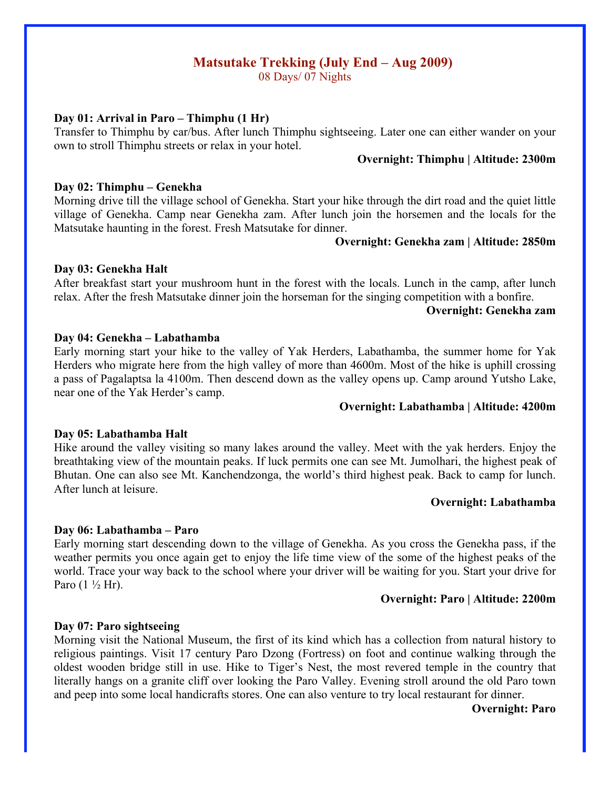# **Matsutake Trekking (July End – Aug 2009)**

08 Days/ 07 Nights

### **Day 01: Arrival in Paro – Thimphu (1 Hr)**

Transfer to Thimphu by car/bus. After lunch Thimphu sightseeing. Later one can either wander on your own to stroll Thimphu streets or relax in your hotel.

## **Overnight: Thimphu | Altitude: 2300m**

#### **Day 02: Thimphu – Genekha**

Morning drive till the village school of Genekha. Start your hike through the dirt road and the quiet little village of Genekha. Camp near Genekha zam. After lunch join the horsemen and the locals for the Matsutake haunting in the forest. Fresh Matsutake for dinner.

#### **Overnight: Genekha zam | Altitude: 2850m**

### **Day 03: Genekha Halt**

After breakfast start your mushroom hunt in the forest with the locals. Lunch in the camp, after lunch relax. After the fresh Matsutake dinner join the horseman for the singing competition with a bonfire.

#### **Overnight: Genekha zam**

### **Day 04: Genekha – Labathamba**

Early morning start your hike to the valley of Yak Herders, Labathamba, the summer home for Yak Herders who migrate here from the high valley of more than 4600m. Most of the hike is uphill crossing a pass of Pagalaptsa la 4100m. Then descend down as the valley opens up. Camp around Yutsho Lake, near one of the Yak Herder's camp.

#### **Overnight: Labathamba | Altitude: 4200m**

#### **Day 05: Labathamba Halt**

Hike around the valley visiting so many lakes around the valley. Meet with the yak herders. Enjoy the breathtaking view of the mountain peaks. If luck permits one can see Mt. Jumolhari, the highest peak of Bhutan. One can also see Mt. Kanchendzonga, the world's third highest peak. Back to camp for lunch. After lunch at leisure.

#### **Overnight: Labathamba**

### **Day 06: Labathamba – Paro**

Early morning start descending down to the village of Genekha. As you cross the Genekha pass, if the weather permits you once again get to enjoy the life time view of the some of the highest peaks of the world. Trace your way back to the school where your driver will be waiting for you. Start your drive for Paro  $(1 \frac{1}{2} Hr)$ .

#### **Overnight: Paro | Altitude: 2200m**

#### **Day 07: Paro sightseeing**

Morning visit the National Museum, the first of its kind which has a collection from natural history to religious paintings. Visit 17 century Paro Dzong (Fortress) on foot and continue walking through the oldest wooden bridge still in use. Hike to Tiger's Nest, the most revered temple in the country that literally hangs on a granite cliff over looking the Paro Valley. Evening stroll around the old Paro town and peep into some local handicrafts stores. One can also venture to try local restaurant for dinner.

**Overnight: Paro**